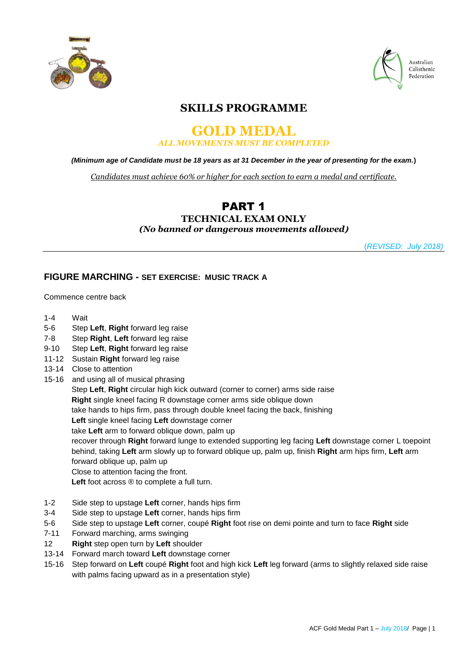



Australian Calisthenic Federation

# **SKILLS PROGRAMME**

### **GOLD MEDAL** *ALL MOVEMENTS MUST BE COMPLETED*

*(Minimum age of Candidate must be 18 years as at 31 December in the year of presenting for the exam.***)**

*Candidates must achieve 60% or higher for each section to earn a medal and certificate.*

# PART 1

### **TECHNICAL EXAM ONLY** *(No banned or dangerous movements allowed***)**

(*REVISED: July 2018)*

## **FIGURE MARCHING - SET EXERCISE: MUSIC TRACK A**

Commence centre back

- 1-4 Wait
- 5-6 Step **Left**, **Right** forward leg raise
- 7-8 Step **Right**, **Left** forward leg raise
- 9-10 Step **Left**, **Right** forward leg raise
- 11-12 Sustain **Right** forward leg raise
- 13-14 Close to attention
- 15-16 and using all of musical phrasing

Step **Left**, **Right** circular high kick outward (corner to corner) arms side raise **Right** single kneel facing R downstage corner arms side oblique down take hands to hips firm, pass through double kneel facing the back, finishing **Left** single kneel facing **Left** downstage corner take **Left** arm to forward oblique down, palm up

recover through **Right** forward lunge to extended supporting leg facing **Left** downstage corner L toepoint behind, taking **Left** arm slowly up to forward oblique up, palm up, finish **Right** arm hips firm, **Left** arm forward oblique up, palm up

Close to attention facing the front.

**Left** foot across ® to complete a full turn.

- 1-2 Side step to upstage **Left** corner, hands hips firm
- 3-4 Side step to upstage **Left** corner, hands hips firm
- 5-6 Side step to upstage **Left** corner, coupé **Right** foot rise on demi pointe and turn to face **Right** side
- 7-11 Forward marching, arms swinging
- 12 **Right** step open turn by **Left** shoulder
- 13-14 Forward march toward **Left** downstage corner
- 15-16 Step forward on **Left** coupé **Right** foot and high kick **Left** leg forward (arms to slightly relaxed side raise with palms facing upward as in a presentation style)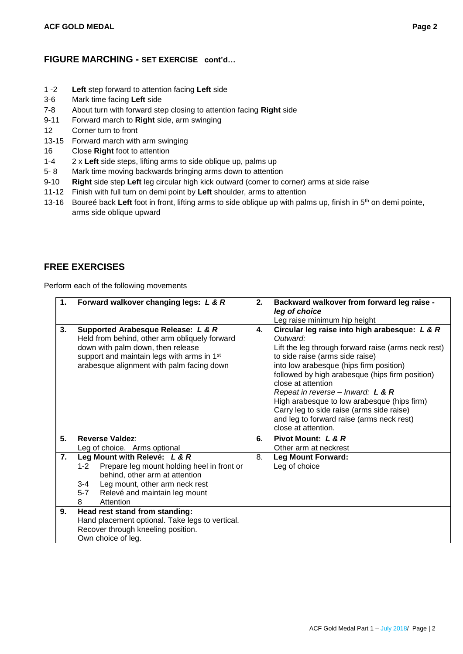### **FIGURE MARCHING - SET EXERCISE cont'd…**

- 1 -2 **Left** step forward to attention facing **Left** side
- 3-6 Mark time facing **Left** side
- 7-8 About turn with forward step closing to attention facing **Right** side
- 9-11 Forward march to **Right** side, arm swinging
- 12 Corner turn to front
- 13-15 Forward march with arm swinging
- 16 Close **Right** foot to attention
- 1-4 2 x **Left** side steps, lifting arms to side oblique up, palms up
- 5- 8 Mark time moving backwards bringing arms down to attention
- 9-10 **Right** side step **Left** leg circular high kick outward (corner to corner) arms at side raise
- 11-12 Finish with full turn on demi point by **Left** shoulder, arms to attention
- 13-16 Boureé back **Left** foot in front, lifting arms to side oblique up with palms up, finish in 5th on demi pointe, arms side oblique upward

### **FREE EXERCISES**

Perform each of the following movements

| 1. | Forward walkover changing legs: L & R                                                                                                                                                                                              | 2. | Backward walkover from forward leg raise -<br>leg of choice<br>Leg raise minimum hip height                                                                                                                                                                                                                                                                                                                                                                                      |  |
|----|------------------------------------------------------------------------------------------------------------------------------------------------------------------------------------------------------------------------------------|----|----------------------------------------------------------------------------------------------------------------------------------------------------------------------------------------------------------------------------------------------------------------------------------------------------------------------------------------------------------------------------------------------------------------------------------------------------------------------------------|--|
| 3. | Supported Arabesque Release: L & R<br>Held from behind, other arm obliquely forward<br>down with palm down, then release<br>support and maintain legs with arms in 1 <sup>st</sup><br>arabesque alignment with palm facing down    | 4. | Circular leg raise into high arabesque: L & R<br>Outward:<br>Lift the leg through forward raise (arms neck rest)<br>to side raise (arms side raise)<br>into low arabesque (hips firm position)<br>followed by high arabesque (hips firm position)<br>close at attention<br>Repeat in reverse – Inward: $L$ & $R$<br>High arabesque to low arabesque (hips firm)<br>Carry leg to side raise (arms side raise)<br>and leg to forward raise (arms neck rest)<br>close at attention. |  |
| 5. | <b>Reverse Valdez:</b>                                                                                                                                                                                                             | 6. | Pivot Mount: L & R                                                                                                                                                                                                                                                                                                                                                                                                                                                               |  |
|    | Leg of choice. Arms optional                                                                                                                                                                                                       |    | Other arm at neckrest                                                                                                                                                                                                                                                                                                                                                                                                                                                            |  |
| 7. | Leg Mount with Relevé: L & R<br>Prepare leg mount holding heel in front or<br>$1 - 2$<br>behind, other arm at attention<br>$3 - 4$<br>Leg mount, other arm neck rest<br>$5 - 7$<br>Relevé and maintain leg mount<br>8<br>Attention | 8. | <b>Leg Mount Forward:</b><br>Leg of choice                                                                                                                                                                                                                                                                                                                                                                                                                                       |  |
| 9. | Head rest stand from standing:<br>Hand placement optional. Take legs to vertical.<br>Recover through kneeling position.<br>Own choice of leg.                                                                                      |    |                                                                                                                                                                                                                                                                                                                                                                                                                                                                                  |  |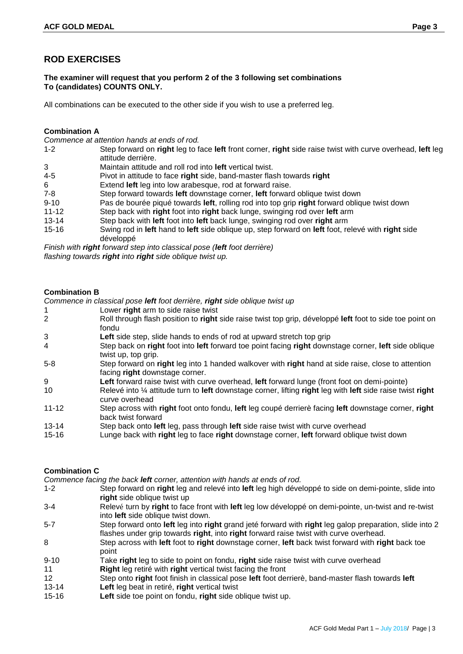# **ROD EXERCISES**

#### **The examiner will request that you perform 2 of the 3 following set combinations To (candidates) COUNTS ONLY.**

All combinations can be executed to the other side if you wish to use a preferred leg.

#### **Combination A**

*Commence at attention hands at ends of rod.*

- 1-2 Step forward on **right** leg to face **left** front corner, **right** side raise twist with curve overhead, **left** leg attitude derrière.
- 3 Maintain attitude and roll rod into **left** vertical twist.
- 4-5 Pivot in attitude to face **right** side, band-master flash towards **right**
- 6 Extend **left** leg into low arabesque, rod at forward raise.
- 7-8 Step forward towards **left** downstage corner, **left** forward oblique twist down
- 9-10 Pas de bourée piqué towards **left**, rolling rod into top grip **right** forward oblique twist down
- 11-12 Step back with **right** foot into **right** back lunge, swinging rod over **left** arm
- 13-14 Step back with **left** foot into **left** back lunge, swinging rod over **right** arm
- 15-16 Swing rod in **left** hand to **left** side oblique up, step forward on **left** foot, relevé with **right** side développé

*Finish with right forward step into classical pose (left foot derrière) flashing towards right into right side oblique twist up.*

#### **Combination B**

*Commence in classical pose left foot derrière, right side oblique twist up*

- 1 Lower **right** arm to side raise twist
- 2 Roll through flash position to **right** side raise twist top grip, développé **left** foot to side toe point on fondu
- **1 Left** side step, slide hands to ends of rod at upward stretch top grip<br> **2** Step back on **right** foot into left forward toe point facing **right** down
- 4 Step back on **right** foot into **left** forward toe point facing **right** downstage corner, **left** side oblique twist up, top grip.
- 5-8 Step forward on **right** leg into 1 handed walkover with **right** hand at side raise, close to attention facing **right** downstage corner.
- 9 **Left** forward raise twist with curve overhead, **left** forward lunge (front foot on demi-pointe)
- 10 Relevé into ¼ attitude turn to **left** downstage corner, lifting **right** leg with **left** side raise twist **right** curve overhead
- 11-12 Step across with **right** foot onto fondu, **left** leg coupé derrierè facing **left** downstage corner, **right** back twist forward
- 13-14 Step back onto **left** leg, pass through **left** side raise twist with curve overhead
- 15-16 Lunge back with **right** leg to face **right** downstage corner, **left** forward oblique twist down

### **Combination C**

*Commence facing the back left corner, attention with hands at ends of rod.*

- 1-2 Step forward on **right** leg and relevé into **left** leg high développé to side on demi-pointe, slide into **right** side oblique twist up
- 3-4 Relevé turn by **right** to face front with **left** leg low développé on demi-pointe, un-twist and re-twist into **left** side oblique twist down.
- 5-7 Step forward onto **left** leg into **right** grand jeté forward with **right** leg galop preparation, slide into 2 flashes under grip towards **right**, into **right** forward raise twist with curve overhead.
- 8 Step across with **left** foot to **right** downstage corner, **left** back twist forward with **right** back toe point
- 9-10 Take **right** leg to side to point on fondu, **right** side raise twist with curve overhead
- 11 **Right** leg retiré with **right** vertical twist facing the front
- 12 Step onto **right** foot finish in classical pose **left** foot derrierè, band-master flash towards **left**
- 13-14 **Left** leg beat in retiré, **right** vertical twist
- 15-16 **Left** side toe point on fondu, **right** side oblique twist up.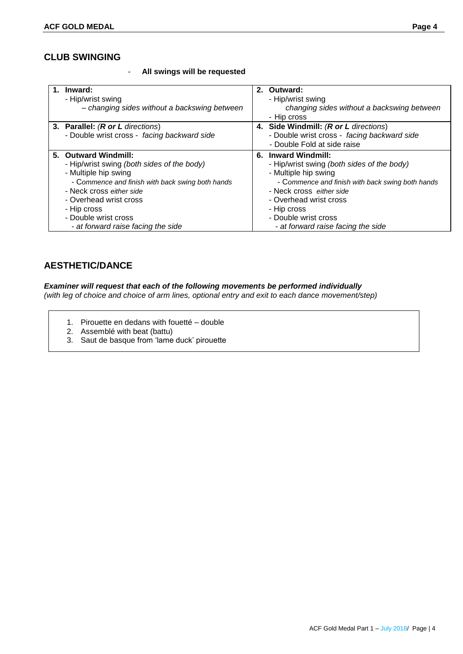# **CLUB SWINGING**

- **All swings will be requested**

| Inward:<br>- Hip/wrist swing<br>- changing sides without a backswing between                                                                                                                                                                                                      | 2. Outward:<br>- Hip/wrist swing<br>changing sides without a backswing between<br>- Hip cross                                                                                                                                                                                    |
|-----------------------------------------------------------------------------------------------------------------------------------------------------------------------------------------------------------------------------------------------------------------------------------|----------------------------------------------------------------------------------------------------------------------------------------------------------------------------------------------------------------------------------------------------------------------------------|
| 3. Parallel: (R or L directions)<br>- Double wrist cross - facing backward side                                                                                                                                                                                                   | 4. Side Windmill: (R or L directions)<br>- Double wrist cross - facing backward side<br>- Double Fold at side raise                                                                                                                                                              |
| 5. Outward Windmill:<br>- Hip/wrist swing (both sides of the body)<br>- Multiple hip swing<br>- Commence and finish with back swing both hands<br>- Neck cross either side<br>- Overhead wrist cross<br>- Hip cross<br>- Double wrist cross<br>- at forward raise facing the side | 6. Inward Windmill:<br>- Hip/wrist swing (both sides of the body)<br>- Multiple hip swing<br>- Commence and finish with back swing both hands<br>- Neck cross either side<br>- Overhead wrist cross<br>- Hip cross<br>- Double wrist cross<br>- at forward raise facing the side |

# **AESTHETIC/DANCE**

*Examiner will request that each of the following movements be performed individually (with leg of choice and choice of arm lines, optional entry and exit to each dance movement/step)*

- 1. Pirouette en dedans with fouetté double
- 2. Assemblé with beat (battu)
- 3. Saut de basque from 'lame duck' pirouette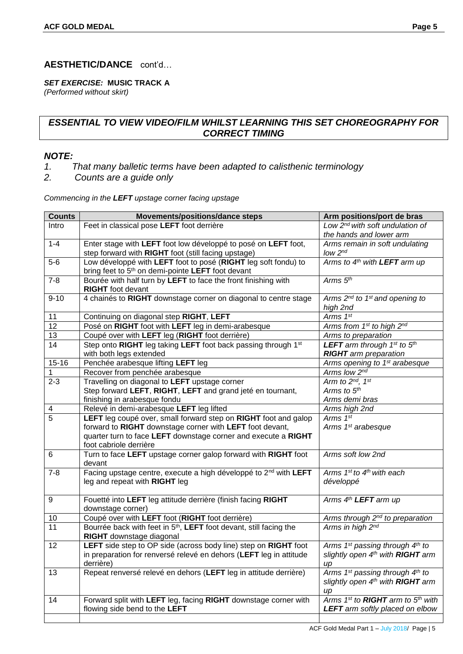# **AESTHETIC/DANCE** cont'd…

### *SET EXERCISE:* **MUSIC TRACK A**

*(Performed without skirt)*

# *ESSENTIAL TO VIEW VIDEO/FILM WHILST LEARNING THIS SET CHOREOGRAPHY FOR CORRECT TIMING*

# *NOTE:*

- *1. That many balletic terms have been adapted to calisthenic terminology*
- *2. Counts are a guide only*

### *Commencing in the LEFT upstage corner facing upstage*

| <b>Counts</b>   | Movements/positions/dance steps                                                | Arm positions/port de bras                              |
|-----------------|--------------------------------------------------------------------------------|---------------------------------------------------------|
| Intro           | Feet in classical pose LEFT foot derrière                                      | Low 2 <sup>nd</sup> with soft undulation of             |
|                 |                                                                                | the hands and lower arm                                 |
| $1 - 4$         | Enter stage with LEFT foot low développé to posé on LEFT foot,                 | Arms remain in soft undulating                          |
|                 | step forward with RIGHT foot (still facing upstage)                            | $low$ $2nd$                                             |
| $5-6$           | Low développé with LEFT foot to posé (RIGHT leg soft fondu) to                 | Arms to 4 <sup>th</sup> with LEFT arm up                |
|                 | bring feet to 5 <sup>th</sup> on demi-pointe LEFT foot devant                  |                                                         |
| $7 - 8$         | Bourée with half turn by LEFT to face the front finishing with                 | Arms $5th$                                              |
|                 | <b>RIGHT</b> foot devant                                                       |                                                         |
| $9 - 10$        | 4 chainés to RIGHT downstage corner on diagonal to centre stage                | Arms 2 <sup>nd</sup> to 1 <sup>st</sup> and opening to  |
|                 |                                                                                | high 2nd                                                |
| 11              | Continuing on diagonal step RIGHT, LEFT                                        | Arms 1st                                                |
| $\overline{12}$ | Posé on RIGHT foot with LEFT leg in demi-arabesque                             | Arms from 1st to high 2nd                               |
| 13              | Coupé over with LEFT leg (RIGHT foot derrière)                                 | Arms to preparation                                     |
| 14              | Step onto RIGHT leg taking LEFT foot back passing through 1st                  | <b>LEFT</b> arm through $1^{st}$ to $5^{th}$            |
|                 | with both legs extended                                                        | <b>RIGHT</b> arm preparation                            |
| $15 - 16$       | Penchée arabesque lifting LEFT leg                                             | Arms opening to 1 <sup>st</sup> arabesque               |
| 1               | Recover from penchée arabesque                                                 | Arms low 2nd                                            |
| $2 - 3$         | Travelling on diagonal to LEFT upstage corner                                  | Arm to 2nd, 1st                                         |
|                 | Step forward LEFT, RIGHT, LEFT and grand jeté en tournant,                     | Arms to 5th                                             |
|                 | finishing in arabesque fondu                                                   | Arms demi bras                                          |
| 4               | Relevé in demi-arabesque LEFT leg lifted                                       | Arms high 2nd                                           |
| $\overline{5}$  | LEFT leg coupé over, small forward step on RIGHT foot and galop                | Arms 1st                                                |
|                 | forward to RIGHT downstage corner with LEFT foot devant,                       | Arms 1 <sup>st</sup> arabesque                          |
|                 | quarter turn to face LEFT downstage corner and execute a RIGHT                 |                                                         |
|                 | foot cabriole derrière                                                         |                                                         |
| 6               | Turn to face LEFT upstage corner galop forward with RIGHT foot                 | Arms soft low 2nd                                       |
|                 | devant                                                                         |                                                         |
| $7 - 8$         | Facing upstage centre, execute a high développé to 2 <sup>nd</sup> with LEFT   | Arms $1^{st}$ to $4^{th}$ with each                     |
|                 | leg and repeat with RIGHT leg                                                  | développé                                               |
|                 |                                                                                |                                                         |
| 9               | Fouetté into LEFT leg attitude derrière (finish facing RIGHT                   | Arms 4 <sup>th</sup> LEFT arm up                        |
|                 | downstage corner)                                                              |                                                         |
| 10              | Coupé over with LEFT foot (RIGHT foot derrière)                                | Arms through 2 <sup>nd</sup> to preparation             |
| $\overline{11}$ | Bourrée back with feet in 5 <sup>th</sup> , LEFT foot devant, still facing the | Arms in high 2nd                                        |
|                 | RIGHT downstage diagonal                                                       |                                                         |
| 12              | LEFT side step to OP side (across body line) step on RIGHT foot                | Arms 1st passing through 4th to                         |
|                 | in preparation for renversé relevé en dehors (LEFT leg in attitude             | slightly open 4 <sup>th</sup> with RIGHT arm            |
|                 | derrière)                                                                      | up                                                      |
| 13              | Repeat renversé relevé en dehors (LEFT leg in attitude derrière)               | Arms 1 <sup>st</sup> passing through 4 <sup>th</sup> to |
|                 |                                                                                | slightly open 4 <sup>th</sup> with <b>RIGHT</b> arm     |
|                 |                                                                                | up                                                      |
| 14              | Forward split with LEFT leg, facing RIGHT downstage corner with                | Arms 1st to RIGHT arm to 5th with                       |
|                 | flowing side bend to the LEFT                                                  | <b>LEFT</b> arm softly placed on elbow                  |
|                 |                                                                                |                                                         |